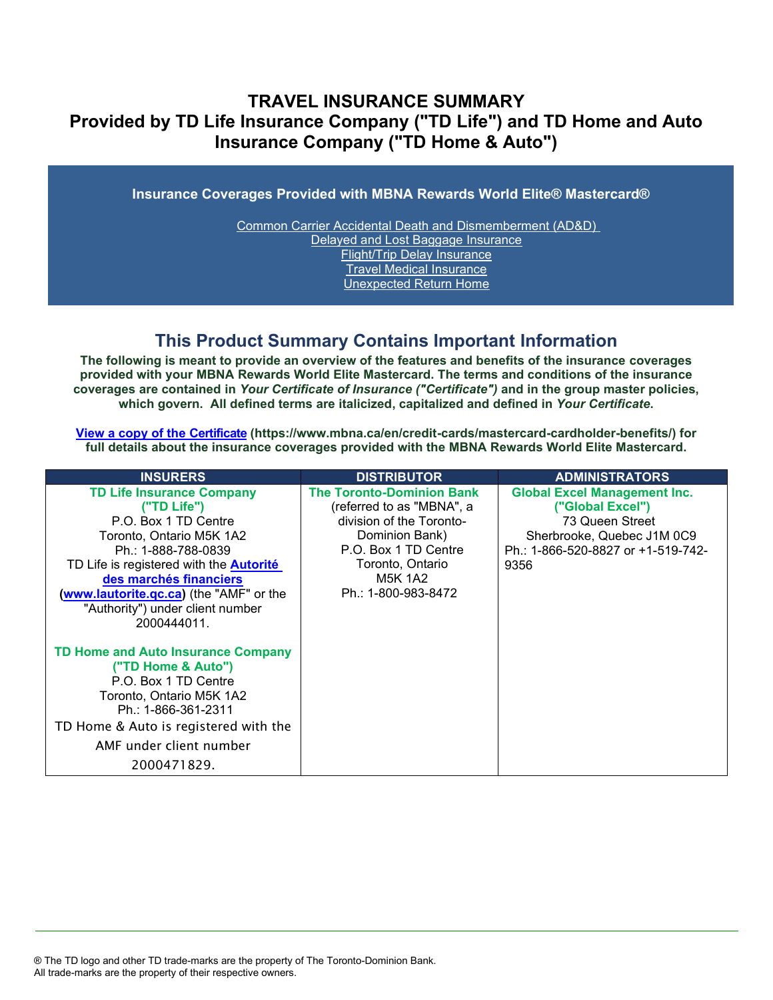## **TRAVEL INSURANCE SUMMARY Provided by TD Life Insurance Company ("TD Life") and TD Home and Auto Insurance Company ("TD Home & Auto")**

**Insurance Coverages Provided with MBNA Rewards World Elite® Mastercard®**

[Common Carrier Accidental Death and Dismemberment \(AD&D\)](#page-3-0)  [Delayed and Lost Baggage Insurance](#page-4-0) [Flight/Trip Delay Insurance](#page-5-0) [Travel Medical Insurance](#page-6-0) [Unexpected Return Home](#page-6-1)

## **This Product Summary Contains Important Information**

**The following is meant to provide an overview of the features and benefits of the insurance coverages provided with your MBNA Rewards World Elite Mastercard. The terms and conditions of the insurance coverages are contained in** *Your Certificate of Insurance ("Certificate")* **and in the group master policies, which govern. All defined terms are italicized, [capitalized and defined](https://www.mbna.ca/en/credit-cards/mastercard-cardholder-benefits/) in** *Your Certificate***.**

**[View a copy of the Certificate](https://www.mbna.ca/en/credit-cards/mastercard-cardholder-benefits/) (https://www.mbna.ca/en/credit-cards/mastercard-cardholder-benefits/) for full details about the insurance coverages provided with the MBNA Rewards World Elite Mastercard.**

| <b>INSURERS</b>                                                                                                                                                                                                                                                                                      | <b>DISTRIBUTOR</b>                                                                                                                                                                        | <b>ADMINISTRATORS</b>                                                                                                                                  |
|------------------------------------------------------------------------------------------------------------------------------------------------------------------------------------------------------------------------------------------------------------------------------------------------------|-------------------------------------------------------------------------------------------------------------------------------------------------------------------------------------------|--------------------------------------------------------------------------------------------------------------------------------------------------------|
| <b>TD Life Insurance Company</b><br>("TD Life")<br>P.O. Box 1 TD Centre<br>Toronto, Ontario M5K 1A2<br>Ph.: 1-888-788-0839<br>TD Life is registered with the <b>Autorité</b><br>des marchés financiers<br>(www.lautorite.gc.ca) (the "AMF" or the<br>"Authority") under client number<br>2000444011. | <b>The Toronto-Dominion Bank</b><br>(referred to as "MBNA", a<br>division of the Toronto-<br>Dominion Bank)<br>P.O. Box 1 TD Centre<br>Toronto, Ontario<br>M5K 1A2<br>Ph.: 1-800-983-8472 | <b>Global Excel Management Inc.</b><br>("Global Excel")<br>73 Queen Street<br>Sherbrooke, Quebec J1M 0C9<br>Ph.: 1-866-520-8827 or +1-519-742-<br>9356 |
| <b>TD Home and Auto Insurance Company</b><br>("TD Home & Auto")<br>P.O. Box 1 TD Centre<br>Toronto, Ontario M5K 1A2<br>Ph.: 1-866-361-2311<br>TD Home & Auto is registered with the<br>AMF under client number<br>2000471829.                                                                        |                                                                                                                                                                                           |                                                                                                                                                        |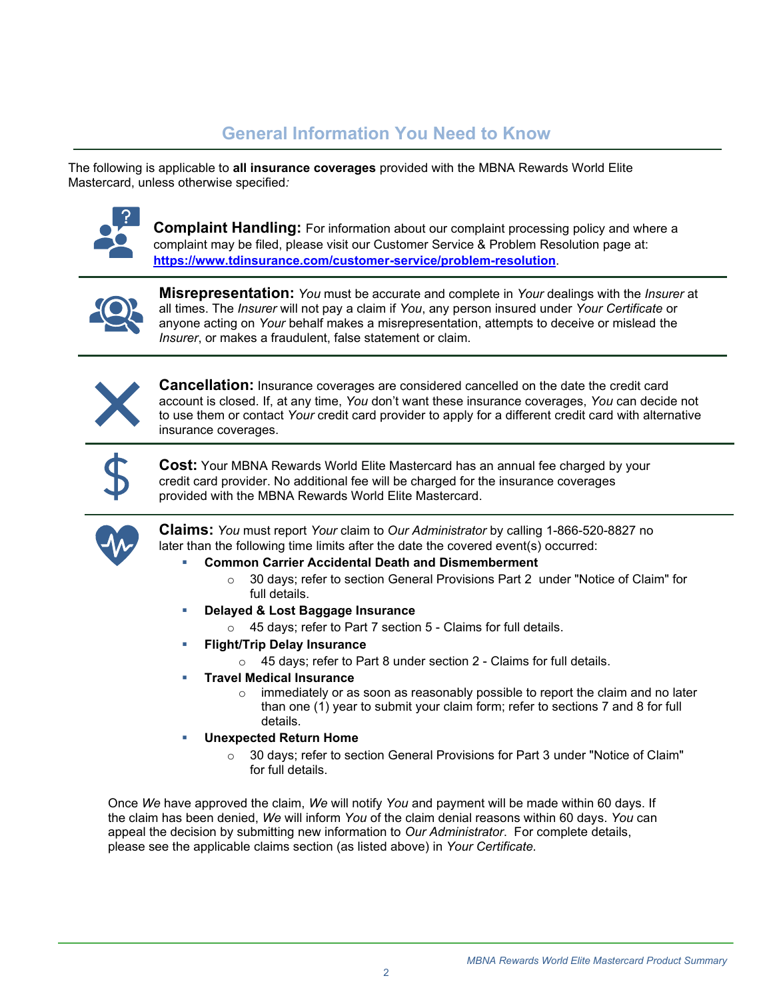# **General Information You Need to Know**

The following is applicable to **all insurance coverages** provided with the MBNA Rewards World Elite Mastercard, unless otherwise specified*:*



**Complaint Handling:** For information about our complaint processing policy and where a complaint may be filed, please visit our Customer Service & Problem Resolution page at: **<https://www.tdinsurance.com/customer-service/problem-resolution>**.



**Misrepresentation:** *You* must be accurate and complete in *Your* dealings with the *Insurer* at all times. The *Insurer* will not pay a claim if *You*, any person insured under *Your Certificate* or anyone acting on *Your* behalf makes a misrepresentation, attempts to deceive or mislead the *Insurer*, or makes a fraudulent, false statement or claim.



**Cancellation:** Insurance coverages are considered cancelled on the date the credit card account is closed. If, at any time, *You* don't want these insurance coverages, *You* can decide not to use them or contact *Your* credit card provider to apply for a different credit card with alternative insurance coverages.



**Cost:** Your MBNA Rewards World Elite Mastercard has an annual fee charged by your credit card provider. No additional fee will be charged for the insurance coverages provided with the MBNA Rewards World Elite Mastercard.



**Claims:** *You* must report *Your* claim to *Our Administrator* by calling 1-866-520-8827 no later than the following time limits after the date the covered event(s) occurred:

- **Common Carrier Accidental Death and Dismemberment** 
	- $\circ$  30 days; refer to section General Provisions Part 2 under "Notice of Claim" for full details.
- **Delayed & Lost Baggage Insurance** 
	- o 45 days; refer to Part 7 section 5 Claims for full details.
- **[Flight/Trip Delay](#page-4-1) Insurance**
	- $\circ$  45 days; refer to Part 8 under section 2 Claims for full details.
- **Travel Medical Insurance** 
	- $\circ$  immediately or as soon as reasonably possible to report the claim and no later than one (1) year to submit your claim form; refer to sections 7 and 8 for full details.
- **Unexpected Return Home** 
	- o 30 days; refer to section General Provisions for Part 3 under "Notice of Claim" for full details.

Once *We* have approved the claim, *We* will notify *You* and payment will be made within 60 days. If the claim has been denied, *We* will inform *You* of the claim denial reasons within 60 days. *You* can appeal the decision by submitting new information to *Our Administrator*. For complete details, please see the applicable claims section (as listed above) in *Your Certificate.*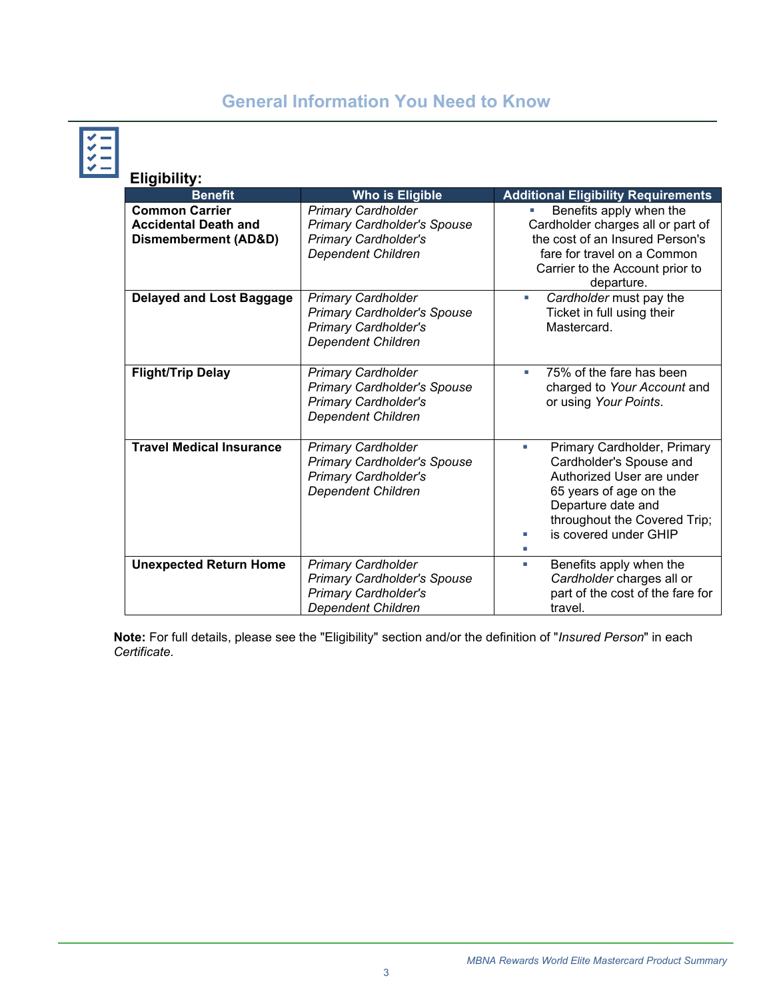# **General Information You Need to Know**

| <b>Eligibility:</b>                                                                     |                                                                                                                             |                                                                                                                                                                                                   |
|-----------------------------------------------------------------------------------------|-----------------------------------------------------------------------------------------------------------------------------|---------------------------------------------------------------------------------------------------------------------------------------------------------------------------------------------------|
| <b>Benefit</b>                                                                          | <b>Who is Eligible</b>                                                                                                      | <b>Additional Eligibility Requirements</b>                                                                                                                                                        |
| <b>Common Carrier</b><br><b>Accidental Death and</b><br><b>Dismemberment (AD&amp;D)</b> | <b>Primary Cardholder</b><br><b>Primary Cardholder's Spouse</b><br><b>Primary Cardholder's</b><br><b>Dependent Children</b> | Benefits apply when the<br>Cardholder charges all or part of<br>the cost of an Insured Person's<br>fare for travel on a Common<br>Carrier to the Account prior to<br>departure.                   |
| <b>Delayed and Lost Baggage</b>                                                         | <b>Primary Cardholder</b><br><b>Primary Cardholder's Spouse</b><br><b>Primary Cardholder's</b><br><b>Dependent Children</b> | Cardholder must pay the<br>a,<br>Ticket in full using their<br>Mastercard.                                                                                                                        |
| <b>Flight/Trip Delay</b>                                                                | <b>Primary Cardholder</b><br><b>Primary Cardholder's Spouse</b><br><b>Primary Cardholder's</b><br><b>Dependent Children</b> | 75% of the fare has been<br>ш<br>charged to Your Account and<br>or using Your Points.                                                                                                             |
| <b>Travel Medical Insurance</b>                                                         | <b>Primary Cardholder</b><br><b>Primary Cardholder's Spouse</b><br><b>Primary Cardholder's</b><br><b>Dependent Children</b> | Primary Cardholder, Primary<br>×<br>Cardholder's Spouse and<br>Authorized User are under<br>65 years of age on the<br>Departure date and<br>throughout the Covered Trip;<br>is covered under GHIP |
| <b>Unexpected Return Home</b>                                                           | <b>Primary Cardholder</b><br><b>Primary Cardholder's Spouse</b><br><b>Primary Cardholder's</b><br><b>Dependent Children</b> | Benefits apply when the<br>a.<br>Cardholder charges all or<br>part of the cost of the fare for<br>travel.                                                                                         |

**Note:** For full details, please see the "Eligibility" section and/or the definition of "*Insured Person*" in each *Certificate*.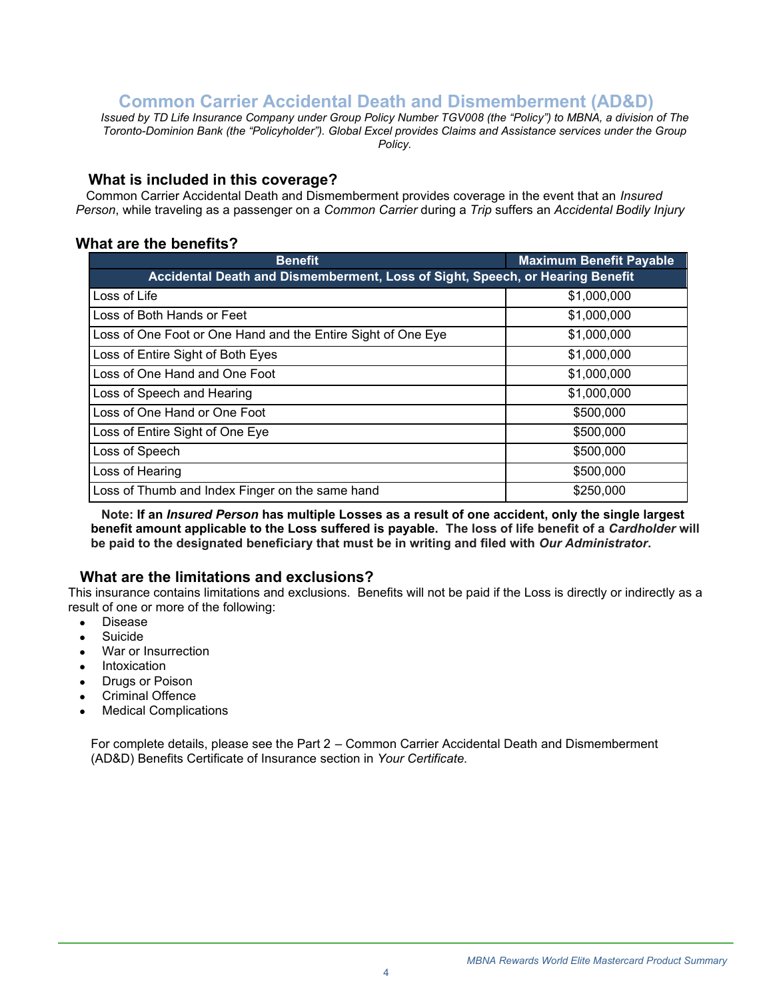## **Common Carrier Accidental Death and Dismemberment (AD&D)**

<span id="page-3-0"></span>*Issued by TD Life Insurance Company under Group Policy Number TGV008 (the "Policy") to MBNA, a division of The Toronto-Dominion Bank (the "Policyholder"). Global Excel provides Claims and Assistance services under the Group Policy.*

#### **What is included in this coverage?**

 Common Carrier Accidental Death and Dismemberment provides coverage in the event that an *Insured Person*, while traveling as a passenger on a *Common Carrier* during a *Trip* suffers an *Accidental Bodily Injury*

## **What are the benefits?**

| <b>Benefit</b>                                                                | <b>Maximum Benefit Payable</b> |
|-------------------------------------------------------------------------------|--------------------------------|
| Accidental Death and Dismemberment, Loss of Sight, Speech, or Hearing Benefit |                                |
| Loss of Life                                                                  | \$1,000,000                    |
| Loss of Both Hands or Feet                                                    | \$1,000,000                    |
| Loss of One Foot or One Hand and the Entire Sight of One Eye                  | \$1,000,000                    |
| Loss of Entire Sight of Both Eyes                                             | \$1,000,000                    |
| Loss of One Hand and One Foot                                                 | \$1,000,000                    |
| Loss of Speech and Hearing                                                    | \$1,000,000                    |
| Loss of One Hand or One Foot                                                  | \$500,000                      |
| Loss of Entire Sight of One Eye                                               | \$500,000                      |
| Loss of Speech                                                                | \$500,000                      |
| Loss of Hearing                                                               | \$500,000                      |
| Loss of Thumb and Index Finger on the same hand                               | \$250,000                      |

 **Note: If an** *Insured Person* **has multiple Losses as a result of one accident, only the single largest benefit amount applicable to the Loss suffered is payable. The loss of life benefit of a** *Cardholder* **will be paid to the designated beneficiary that must be in writing and filed with** *Our Administrator***.** 

## **What are the limitations and exclusions?**

This insurance contains limitations and exclusions. Benefits will not be paid if the Loss is directly or indirectly as a result of one or more of the following:

- Disease
- Suicide
- War or Insurrection
- **Intoxication**
- **Drugs or Poison**
- Criminal Offence
- **Medical Complications**

For complete details, please see the Part 2 – Common Carrier Accidental Death and Dismemberment (AD&D) Benefits Certificate of Insurance section in *Your Certificate.*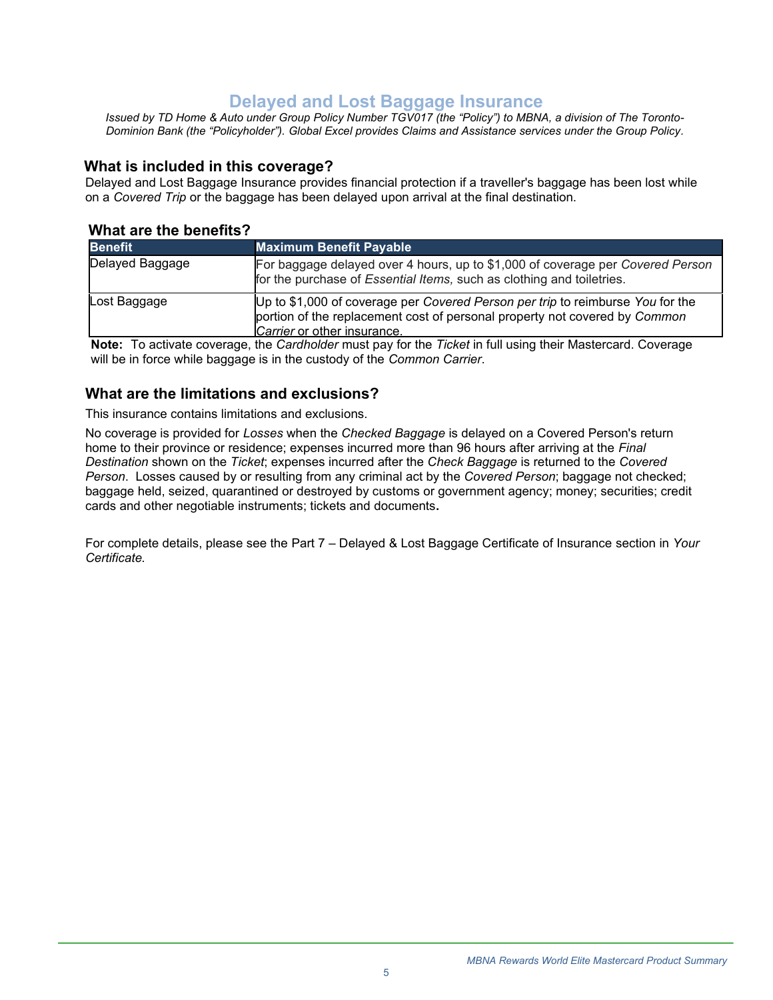## **Delayed and Lost Baggage Insurance**

<span id="page-4-0"></span>*Issued by TD Home & Auto under Group Policy Number TGV017 (the "Policy") to MBNA, a division of The Toronto-Dominion Bank (the "Policyholder"). Global Excel provides Claims and Assistance services under the Group Policy.*

#### **What is included in this coverage?**

Delayed and Lost Baggage Insurance provides financial protection if a traveller's baggage has been lost while on a *Covered Trip* or the baggage has been delayed upon arrival at the final destination.

#### **What are the benefits?**

| <b>Benefit</b>  | <b>Maximum Benefit Payable</b>                                                                                                                                                              |
|-----------------|---------------------------------------------------------------------------------------------------------------------------------------------------------------------------------------------|
| Delayed Baggage | For baggage delayed over 4 hours, up to \$1,000 of coverage per Covered Person<br>for the purchase of Essential Items, such as clothing and toiletries.                                     |
| Lost Baggage    | Up to \$1,000 of coverage per Covered Person per trip to reimburse You for the<br>portion of the replacement cost of personal property not covered by Common<br>Carrier or other insurance. |

**Note:** To activate coverage, the *Cardholder* must pay for the *Ticket* in full using their Mastercard. Coverage will be in force while baggage is in the custody of the *Common Carrier*.

### **What are the limitations and exclusions?**

This insurance contains limitations and exclusions.

No coverage is provided for *Losses* when the *Checked Baggage* is delayed on a Covered Person's return home to their province or residence; expenses incurred more than 96 hours after arriving at the *Final Destination* shown on the *Ticket*; expenses incurred after the *Check Baggage* is returned to the *Covered Person*. Losses caused by or resulting from any criminal act by the *Covered Person*; baggage not checked; baggage held, seized, quarantined or destroyed by customs or government agency; money; securities; credit cards and other negotiable instruments; tickets and documents**.**

<span id="page-4-1"></span>For complete details, please see the Part 7 – Delayed & Lost Baggage Certificate of Insurance section in *Your Certificate.*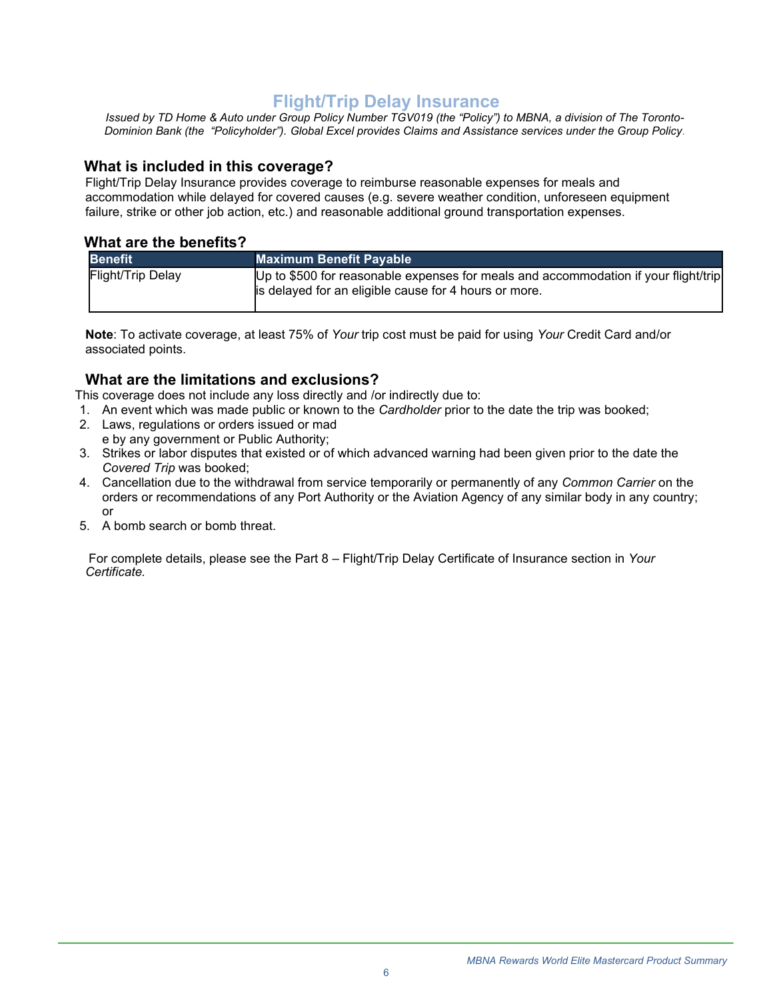## **Flight/Trip Delay Insurance**

<span id="page-5-0"></span>*Issued by TD Home & Auto under Group Policy Number TGV019 (the "Policy") to MBNA, a division of The Toronto-Dominion Bank (the "Policyholder"). Global Excel provides Claims and Assistance services under the Group Policy.*

#### **What is included in this coverage?**

Flight/Trip Delay Insurance provides coverage to reimburse reasonable expenses for meals and accommodation while delayed for covered causes (e.g. severe weather condition, unforeseen equipment failure, strike or other job action, etc.) and reasonable additional ground transportation expenses.

#### **What are the benefits?**

| <b>Benefit</b>    | <b>Maximum Benefit Payable</b>                                                                                                               |
|-------------------|----------------------------------------------------------------------------------------------------------------------------------------------|
| Flight/Trip Delay | Up to \$500 for reasonable expenses for meals and accommodation if your flight/trip<br>is delayed for an eligible cause for 4 hours or more. |

**Note**: To activate coverage, at least 75% of *Your* trip cost must be paid for using *Your* Credit Card and/or associated points.

#### **What are the limitations and exclusions?**

This coverage does not include any loss directly and /or indirectly due to:

- 1. An event which was made public or known to the *Cardholder* prior to the date the trip was booked;
- 2. Laws, regulations or orders issued or mad e by any government or Public Authority;
- 3. Strikes or labor disputes that existed or of which advanced warning had been given prior to the date the *Covered Trip* was booked;
- 4. Cancellation due to the withdrawal from service temporarily or permanently of any *Common Carrier* on the orders or recommendations of any Port Authority or the Aviation Agency of any similar body in any country; or
- 5. A bomb search or bomb threat.

For complete details, please see the Part 8 – Flight/Trip Delay Certificate of Insurance section in *Your Certificate.*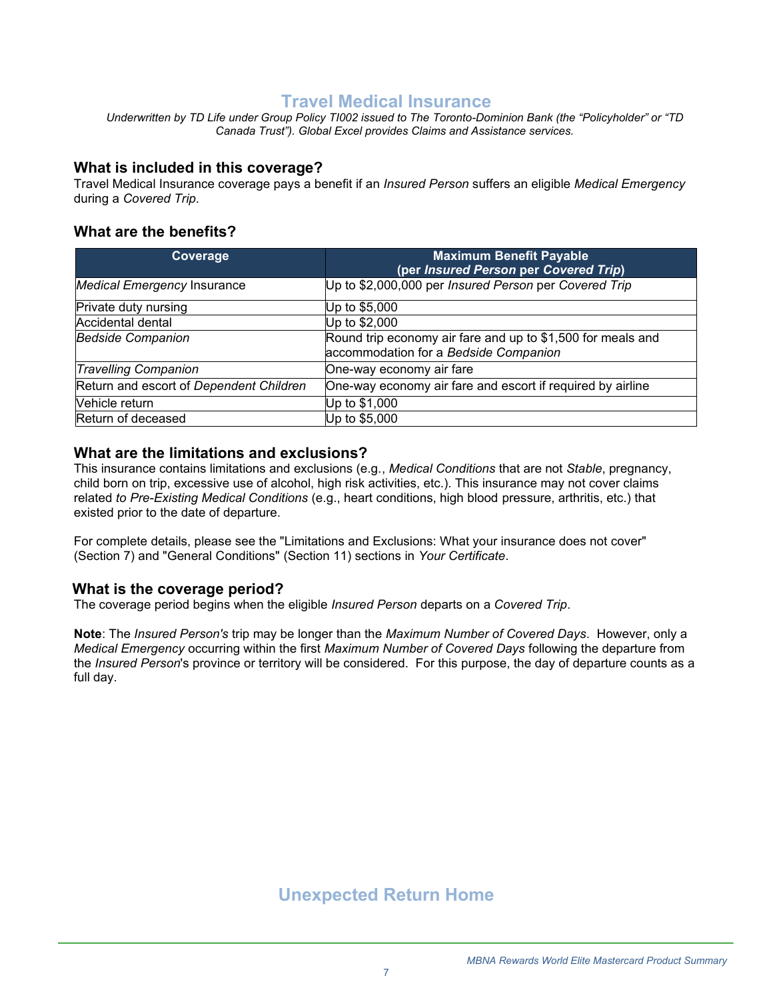## **Travel Medical Insurance**

<span id="page-6-0"></span>*Underwritten by TD Life under Group Policy TI002 issued to The Toronto-Dominion Bank (the "Policyholder" or "TD Canada Trust"). Global Excel provides Claims and Assistance services.*

#### **What is included in this coverage?**

Travel Medical Insurance coverage pays a benefit if an *Insured Person* suffers an eligible *Medical Emergency*  during a *Covered Trip*.

### **What are the benefits?**

| Coverage                                | <b>Maximum Benefit Payable</b><br>(per Insured Person per Covered Trip)                              |
|-----------------------------------------|------------------------------------------------------------------------------------------------------|
| <b>Medical Emergency Insurance</b>      | Up to \$2,000,000 per Insured Person per Covered Trip                                                |
| Private duty nursing                    | Up to \$5,000                                                                                        |
| Accidental dental                       | Up to \$2,000                                                                                        |
| <b>Bedside Companion</b>                | Round trip economy air fare and up to \$1,500 for meals and<br>accommodation for a Bedside Companion |
| <b>Travelling Companion</b>             | One-way economy air fare                                                                             |
| Return and escort of Dependent Children | One-way economy air fare and escort if required by airline                                           |
| Vehicle return                          | Up to \$1,000                                                                                        |
| Return of deceased                      | Up to \$5,000                                                                                        |

### **What are the limitations and exclusions?**

This insurance contains limitations and exclusions (e.g., *Medical Conditions* that are not *Stable*, pregnancy, child born on trip, excessive use of alcohol, high risk activities, etc.). This insurance may not cover claims related *to Pre-Existing Medical Conditions* (e.g., heart conditions, high blood pressure, arthritis, etc.) that existed prior to the date of departure.

For complete details, please see the "Limitations and Exclusions: What your insurance does not cover" (Section 7) and "General Conditions" (Section 11) sections in *Your Certificate*.

#### **What is the coverage period?**

The coverage period begins when the eligible *Insured Person* departs on a *Covered Trip*.

<span id="page-6-1"></span>**Note**: The *Insured Person's* trip may be longer than the *Maximum Number of Covered Days*. However, only a *Medical Emergency* occurring within the first *Maximum Number of Covered Days* following the departure from the *Insured Person*'s province or territory will be considered. For this purpose, the day of departure counts as a full day.

**Unexpected Return Home**